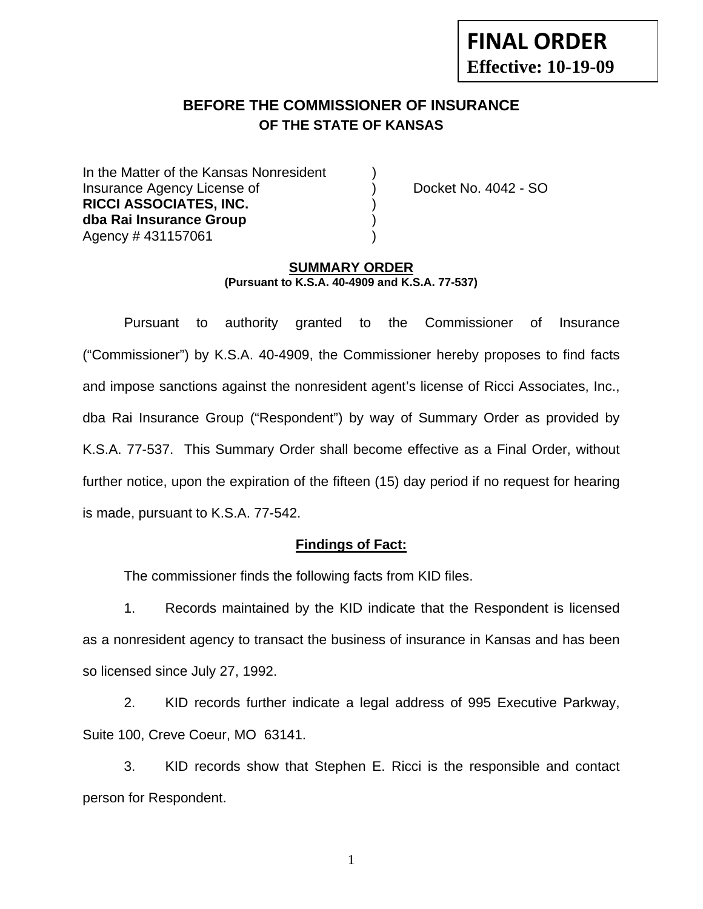# **FINAL ORDER Effective: 10-19-09**

## **BEFORE THE COMMISSIONER OF INSURANCE OF THE STATE OF KANSAS**

In the Matter of the Kansas Nonresident Insurance Agency License of ) Docket No. 4042 - SO **RICCI ASSOCIATES, INC.** ) **dba Rai Insurance Group** ) Agency # 431157061 )

#### **SUMMARY ORDER (Pursuant to K.S.A. 40-4909 and K.S.A. 77-537)**

 Pursuant to authority granted to the Commissioner of Insurance ("Commissioner") by K.S.A. 40-4909, the Commissioner hereby proposes to find facts and impose sanctions against the nonresident agent's license of Ricci Associates, Inc., dba Rai Insurance Group ("Respondent") by way of Summary Order as provided by K.S.A. 77-537. This Summary Order shall become effective as a Final Order, without further notice, upon the expiration of the fifteen (15) day period if no request for hearing is made, pursuant to K.S.A. 77-542.

#### **Findings of Fact:**

The commissioner finds the following facts from KID files.

 1. Records maintained by the KID indicate that the Respondent is licensed as a nonresident agency to transact the business of insurance in Kansas and has been so licensed since July 27, 1992.

 2. KID records further indicate a legal address of 995 Executive Parkway, Suite 100, Creve Coeur, MO 63141.

 3. KID records show that Stephen E. Ricci is the responsible and contact person for Respondent.

1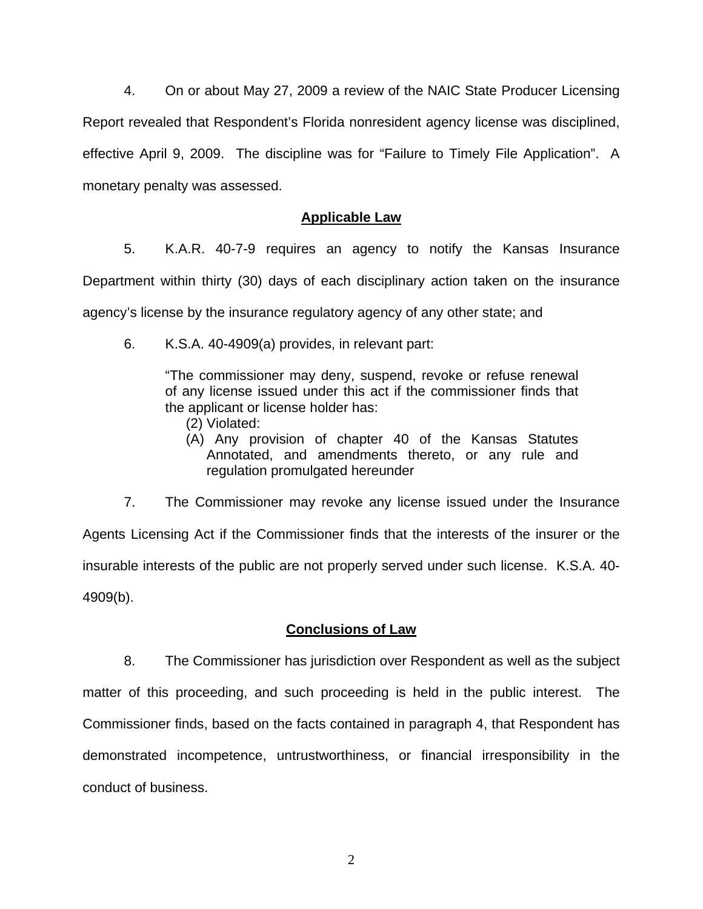4. On or about May 27, 2009 a review of the NAIC State Producer Licensing Report revealed that Respondent's Florida nonresident agency license was disciplined, effective April 9, 2009. The discipline was for "Failure to Timely File Application". A monetary penalty was assessed.

## **Applicable Law**

 5. K.A.R. 40-7-9 requires an agency to notify the Kansas Insurance Department within thirty (30) days of each disciplinary action taken on the insurance agency's license by the insurance regulatory agency of any other state; and

6. K.S.A. 40-4909(a) provides, in relevant part:

"The commissioner may deny, suspend, revoke or refuse renewal of any license issued under this act if the commissioner finds that the applicant or license holder has:

- (2) Violated:
- (A) Any provision of chapter 40 of the Kansas Statutes Annotated, and amendments thereto, or any rule and regulation promulgated hereunder

 7. The Commissioner may revoke any license issued under the Insurance Agents Licensing Act if the Commissioner finds that the interests of the insurer or the insurable interests of the public are not properly served under such license. K.S.A. 40- 4909(b).

## **Conclusions of Law**

 8. The Commissioner has jurisdiction over Respondent as well as the subject matter of this proceeding, and such proceeding is held in the public interest. The Commissioner finds, based on the facts contained in paragraph 4, that Respondent has demonstrated incompetence, untrustworthiness, or financial irresponsibility in the conduct of business.

2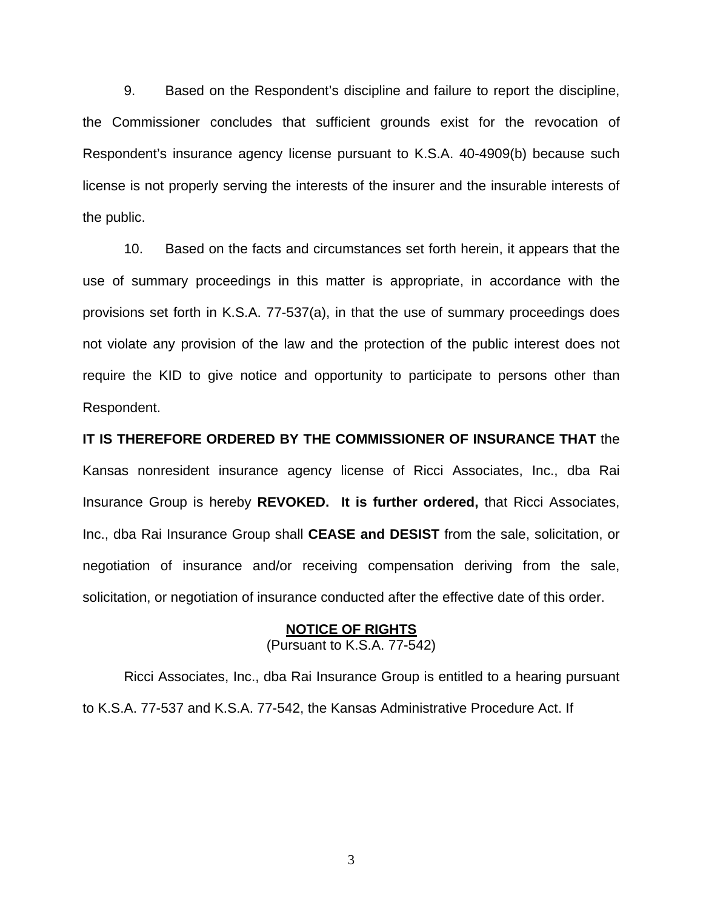9. Based on the Respondent's discipline and failure to report the discipline, the Commissioner concludes that sufficient grounds exist for the revocation of Respondent's insurance agency license pursuant to K.S.A. 40-4909(b) because such license is not properly serving the interests of the insurer and the insurable interests of the public.

 10. Based on the facts and circumstances set forth herein, it appears that the use of summary proceedings in this matter is appropriate, in accordance with the provisions set forth in K.S.A. 77-537(a), in that the use of summary proceedings does not violate any provision of the law and the protection of the public interest does not require the KID to give notice and opportunity to participate to persons other than Respondent.

**IT IS THEREFORE ORDERED BY THE COMMISSIONER OF INSURANCE THAT** the Kansas nonresident insurance agency license of Ricci Associates, Inc., dba Rai Insurance Group is hereby **REVOKED. It is further ordered,** that Ricci Associates, Inc., dba Rai Insurance Group shall **CEASE and DESIST** from the sale, solicitation, or negotiation of insurance and/or receiving compensation deriving from the sale, solicitation, or negotiation of insurance conducted after the effective date of this order.

#### **NOTICE OF RIGHTS** (Pursuant to K.S.A. 77-542)

Ricci Associates, Inc., dba Rai Insurance Group is entitled to a hearing pursuant

to K.S.A. 77-537 and K.S.A. 77-542, the Kansas Administrative Procedure Act. If

3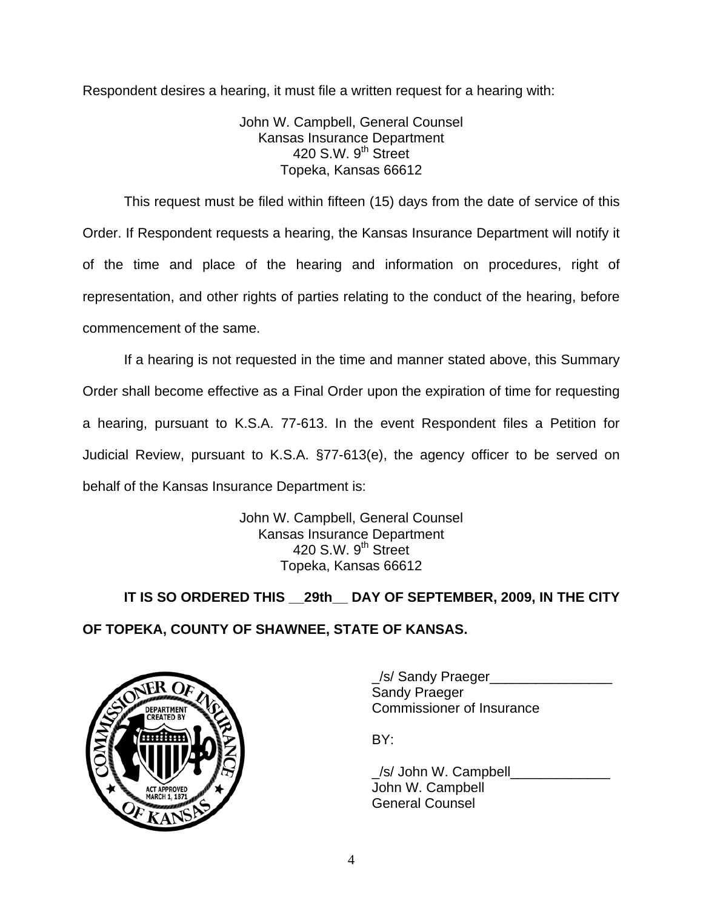Respondent desires a hearing, it must file a written request for a hearing with:

John W. Campbell, General Counsel Kansas Insurance Department 420 S.W.  $9<sup>th</sup>$  Street Topeka, Kansas 66612

This request must be filed within fifteen (15) days from the date of service of this Order. If Respondent requests a hearing, the Kansas Insurance Department will notify it of the time and place of the hearing and information on procedures, right of representation, and other rights of parties relating to the conduct of the hearing, before commencement of the same.

If a hearing is not requested in the time and manner stated above, this Summary Order shall become effective as a Final Order upon the expiration of time for requesting a hearing, pursuant to K.S.A. 77-613. In the event Respondent files a Petition for Judicial Review, pursuant to K.S.A. §77-613(e), the agency officer to be served on behalf of the Kansas Insurance Department is:

> John W. Campbell, General Counsel Kansas Insurance Department 420 S.W. 9<sup>th</sup> Street Topeka, Kansas 66612

 **IT IS SO ORDERED THIS \_\_29th\_\_ DAY OF SEPTEMBER, 2009, IN THE CITY OF TOPEKA, COUNTY OF SHAWNEE, STATE OF KANSAS.** 



\_/s/ Sandy Praeger\_\_\_\_\_\_\_\_\_\_\_\_\_\_\_\_ Sandy Praeger DEPARTMENT VAN COMMISSIONER OF INSURANCE

/s/ John W. Campbell John W. Campbell General Counsel